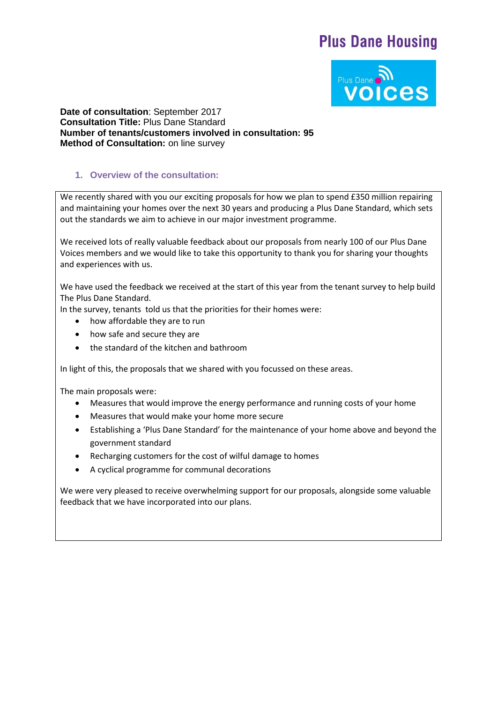# **Plus Dane Housing**



**Date of consultation**: September 2017 **Consultation Title:** Plus Dane Standard **Number of tenants/customers involved in consultation: 95 Method of Consultation:** on line survey

## **1. Overview of the consultation:**

We recently shared with you our exciting proposals for how we plan to spend £350 million repairing and maintaining your homes over the next 30 years and producing a Plus Dane Standard, which sets out the standards we aim to achieve in our major investment programme.

We received lots of really valuable feedback about our proposals from nearly 100 of our Plus Dane Voices members and we would like to take this opportunity to thank you for sharing your thoughts and experiences with us.

We have used the feedback we received at the start of this year from the tenant survey to help build The Plus Dane Standard.

In the survey, tenants told us that the priorities for their homes were:

- how affordable they are to run
- how safe and secure they are
- the standard of the kitchen and bathroom

In light of this, the proposals that we shared with you focussed on these areas.

The main proposals were:

- Measures that would improve the energy performance and running costs of your home
- Measures that would make your home more secure
- Establishing a 'Plus Dane Standard' for the maintenance of your home above and beyond the government standard
- Recharging customers for the cost of wilful damage to homes
- A cyclical programme for communal decorations

We were very pleased to receive overwhelming support for our proposals, alongside some valuable feedback that we have incorporated into our plans.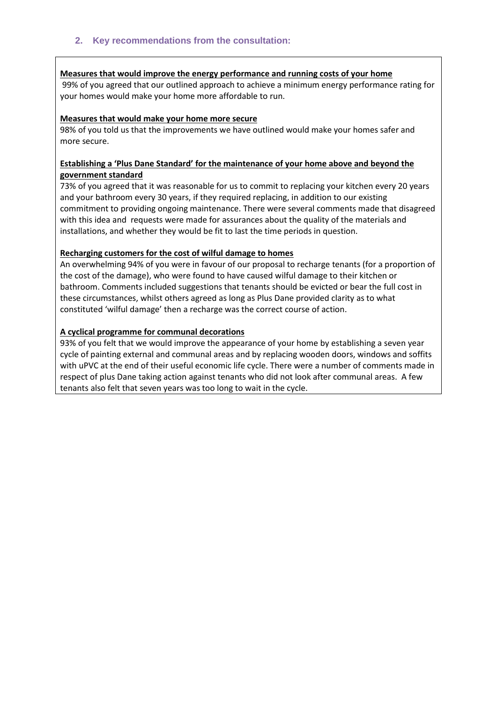### **Measures that would improve the energy performance and running costs of your home**

99% of you agreed that our outlined approach to achieve a minimum energy performance rating for your homes would make your home more affordable to run.

#### **Measures that would make your home more secure**

98% of you told us that the improvements we have outlined would make your homes safer and more secure.

## **Establishing a 'Plus Dane Standard' for the maintenance of your home above and beyond the government standard**

73% of you agreed that it was reasonable for us to commit to replacing your kitchen every 20 years and your bathroom every 30 years, if they required replacing, in addition to our existing commitment to providing ongoing maintenance. There were several comments made that disagreed with this idea and requests were made for assurances about the quality of the materials and installations, and whether they would be fit to last the time periods in question.

## **Recharging customers for the cost of wilful damage to homes**

An overwhelming 94% of you were in favour of our proposal to recharge tenants (for a proportion of the cost of the damage), who were found to have caused wilful damage to their kitchen or bathroom. Comments included suggestions that tenants should be evicted or bear the full cost in these circumstances, whilst others agreed as long as Plus Dane provided clarity as to what constituted 'wilful damage' then a recharge was the correct course of action.

## **A cyclical programme for communal decorations**

93% of you felt that we would improve the appearance of your home by establishing a seven year cycle of painting external and communal areas and by replacing wooden doors, windows and soffits with uPVC at the end of their useful economic life cycle. There were a number of comments made in respect of plus Dane taking action against tenants who did not look after communal areas. A few tenants also felt that seven years was too long to wait in the cycle.